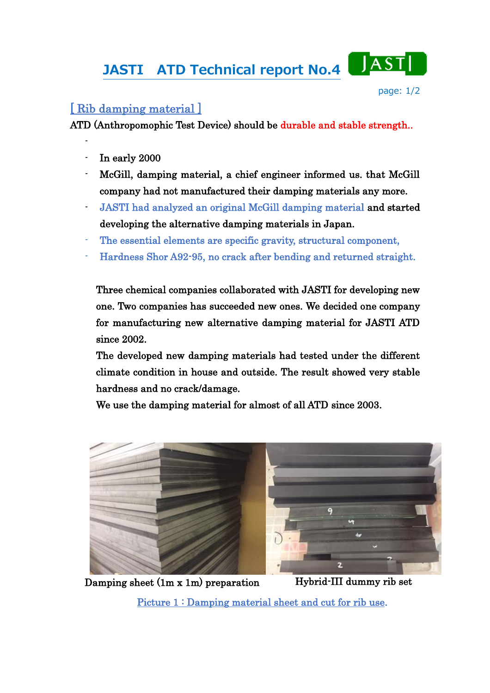## JASTI ATD Technical report No.4



## [ Rib damping material ]

ATD (Anthropomophic Test Device) should be durable and stable strength..

In early 2000

-

- McGill, damping material, a chief engineer informed us. that McGill company had not manufactured their damping materials any more.
- JASTI had analyzed an original McGill damping material and started developing the alternative damping materials in Japan.
- The essential elements are specific gravity, structural component,
- Hardness Shor A92-95, no crack after bending and returned straight.

Three chemical companies collaborated with JASTI for developing new one. Two companies has succeeded new ones. We decided one company for manufacturing new alternative damping material for JASTI ATD since 2002.

The developed new damping materials had tested under the different climate condition in house and outside. The result showed very stable hardness and no crack/damage.

We use the damping material for almost of all ATD since 2003.



Damping sheet (1m x 1m) preparation Hybrid-III dummy rib set

Picture 1 : Damping material sheet and cut for rib use.